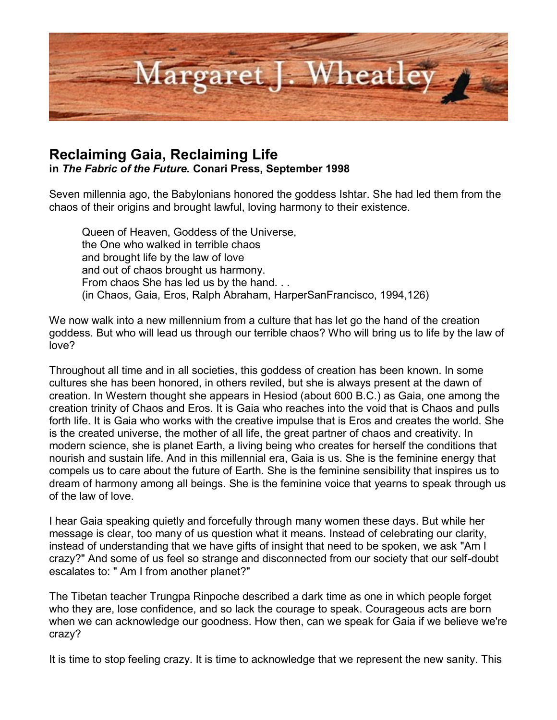

## **Reclaiming Gaia, Reclaiming Life in** *The Fabric of the Future.* **Conari Press, September 1998**

Seven millennia ago, the Babylonians honored the goddess Ishtar. She had led them from the chaos of their origins and brought lawful, loving harmony to their existence.

Queen of Heaven, Goddess of the Universe, the One who walked in terrible chaos and brought life by the law of love and out of chaos brought us harmony. From chaos She has led us by the hand. . . (in Chaos, Gaia, Eros, Ralph Abraham, HarperSanFrancisco, 1994,126)

We now walk into a new millennium from a culture that has let go the hand of the creation goddess. But who will lead us through our terrible chaos? Who will bring us to life by the law of love?

Throughout all time and in all societies, this goddess of creation has been known. In some cultures she has been honored, in others reviled, but she is always present at the dawn of creation. In Western thought she appears in Hesiod (about 600 B.C.) as Gaia, one among the creation trinity of Chaos and Eros. It is Gaia who reaches into the void that is Chaos and pulls forth life. It is Gaia who works with the creative impulse that is Eros and creates the world. She is the created universe, the mother of all life, the great partner of chaos and creativity. In modern science, she is planet Earth, a living being who creates for herself the conditions that nourish and sustain life. And in this millennial era, Gaia is us. She is the feminine energy that compels us to care about the future of Earth. She is the feminine sensibility that inspires us to dream of harmony among all beings. She is the feminine voice that yearns to speak through us of the law of love.

I hear Gaia speaking quietly and forcefully through many women these days. But while her message is clear, too many of us question what it means. Instead of celebrating our clarity, instead of understanding that we have gifts of insight that need to be spoken, we ask "Am I crazy?" And some of us feel so strange and disconnected from our society that our self-doubt escalates to: " Am I from another planet?"

The Tibetan teacher Trungpa Rinpoche described a dark time as one in which people forget who they are, lose confidence, and so lack the courage to speak. Courageous acts are born when we can acknowledge our goodness. How then, can we speak for Gaia if we believe we're crazy?

It is time to stop feeling crazy. It is time to acknowledge that we represent the new sanity. This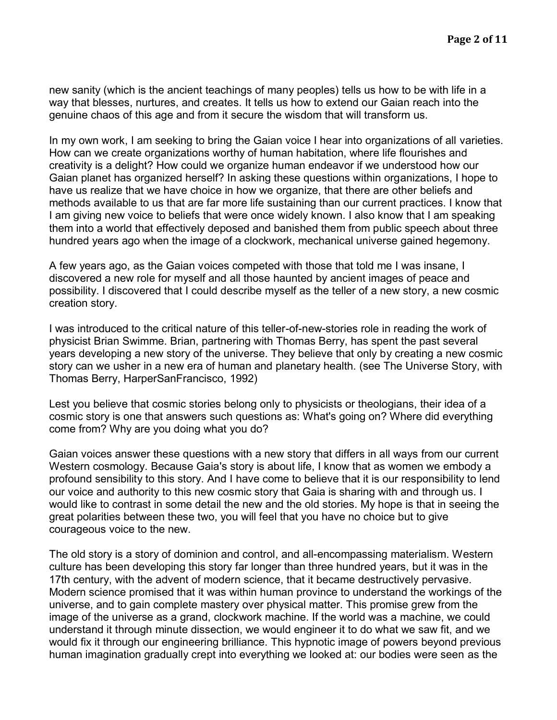new sanity (which is the ancient teachings of many peoples) tells us how to be with life in a way that blesses, nurtures, and creates. It tells us how to extend our Gaian reach into the genuine chaos of this age and from it secure the wisdom that will transform us.

In my own work, I am seeking to bring the Gaian voice I hear into organizations of all varieties. How can we create organizations worthy of human habitation, where life flourishes and creativity is a delight? How could we organize human endeavor if we understood how our Gaian planet has organized herself? In asking these questions within organizations, I hope to have us realize that we have choice in how we organize, that there are other beliefs and methods available to us that are far more life sustaining than our current practices. I know that I am giving new voice to beliefs that were once widely known. I also know that I am speaking them into a world that effectively deposed and banished them from public speech about three hundred years ago when the image of a clockwork, mechanical universe gained hegemony.

A few years ago, as the Gaian voices competed with those that told me I was insane, I discovered a new role for myself and all those haunted by ancient images of peace and possibility. I discovered that I could describe myself as the teller of a new story, a new cosmic creation story.

I was introduced to the critical nature of this teller-of-new-stories role in reading the work of physicist Brian Swimme. Brian, partnering with Thomas Berry, has spent the past several years developing a new story of the universe. They believe that only by creating a new cosmic story can we usher in a new era of human and planetary health. (see The Universe Story, with Thomas Berry, HarperSanFrancisco, 1992)

Lest you believe that cosmic stories belong only to physicists or theologians, their idea of a cosmic story is one that answers such questions as: What's going on? Where did everything come from? Why are you doing what you do?

Gaian voices answer these questions with a new story that differs in all ways from our current Western cosmology. Because Gaia's story is about life, I know that as women we embody a profound sensibility to this story. And I have come to believe that it is our responsibility to lend our voice and authority to this new cosmic story that Gaia is sharing with and through us. I would like to contrast in some detail the new and the old stories. My hope is that in seeing the great polarities between these two, you will feel that you have no choice but to give courageous voice to the new.

The old story is a story of dominion and control, and all-encompassing materialism. Western culture has been developing this story far longer than three hundred years, but it was in the 17th century, with the advent of modern science, that it became destructively pervasive. Modern science promised that it was within human province to understand the workings of the universe, and to gain complete mastery over physical matter. This promise grew from the image of the universe as a grand, clockwork machine. If the world was a machine, we could understand it through minute dissection, we would engineer it to do what we saw fit, and we would fix it through our engineering brilliance. This hypnotic image of powers beyond previous human imagination gradually crept into everything we looked at: our bodies were seen as the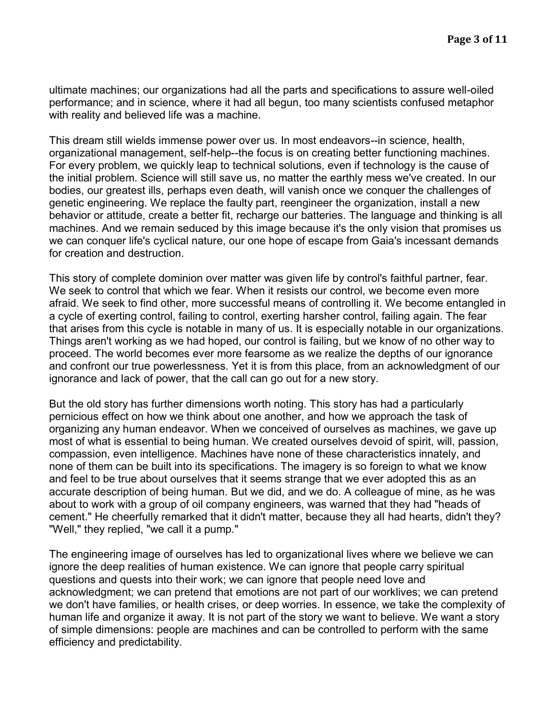ultimate machines; our organizations had all the parts and specifications to assure well-oiled performance; and in science, where it had all begun, too many scientists confused metaphor with reality and believed life was a machine.

This dream still wields immense power over us. In most endeavors--in science, health, organizational management, self-help--the focus is on creating better functioning machines. For every problem, we quickly leap to technical solutions, even if technology is the cause of the initial problem. Science will still save us, no matter the earthly mess we've created. In our bodies, our greatest ills, perhaps even death, will vanish once we conquer the challenges of genetic engineering. We replace the faulty part, reengineer the organization, install a new behavior or attitude, create a better fit, recharge our batteries. The language and thinking is all machines. And we remain seduced by this image because it's the only vision that promises us we can conquer life's cyclical nature, our one hope of escape from Gaia's incessant demands for creation and destruction.

This story of complete dominion over matter was given life by control's faithful partner, fear. We seek to control that which we fear. When it resists our control, we become even more afraid. We seek to find other, more successful means of controlling it. We become entangled in a cycle of exerting control, failing to control, exerting harsher control, failing again. The fear that arises from this cycle is notable in many of us. It is especially notable in our organizations. Things aren't working as we had hoped, our control is failing, but we know of no other way to proceed. The world becomes ever more fearsome as we realize the depths of our ignorance and confront our true powerlessness. Yet it is from this place, from an acknowledgment of our ignorance and lack of power, that the call can go out for a new story.

But the old story has further dimensions worth noting. This story has had a particularly pernicious effect on how we think about one another, and how we approach the task of organizing any human endeavor. When we conceived of ourselves as machines, we gave up most of what is essential to being human. We created ourselves devoid of spirit, will, passion, compassion, even intelligence. Machines have none of these characteristics innately, and none of them can be built into its specifications. The imagery is so foreign to what we know and feel to be true about ourselves that it seems strange that we ever adopted this as an accurate description of being human. But we did, and we do. A colleague of mine, as he was about to work with a group of oil company engineers, was warned that they had "heads of cement." He cheerfully remarked that it didn't matter, because they all had hearts, didn't they? "Well," they replied, "we call it a pump."

The engineering image of ourselves has led to organizational lives where we believe we can ignore the deep realities of human existence. We can ignore that people carry spiritual questions and quests into their work; we can ignore that people need love and acknowledgment; we can pretend that emotions are not part of our worklives; we can pretend we don't have families, or health crises, or deep worries. In essence, we take the complexity of human life and organize it away. It is not part of the story we want to believe. We want a story of simple dimensions: people are machines and can be controlled to perform with the same efficiency and predictability.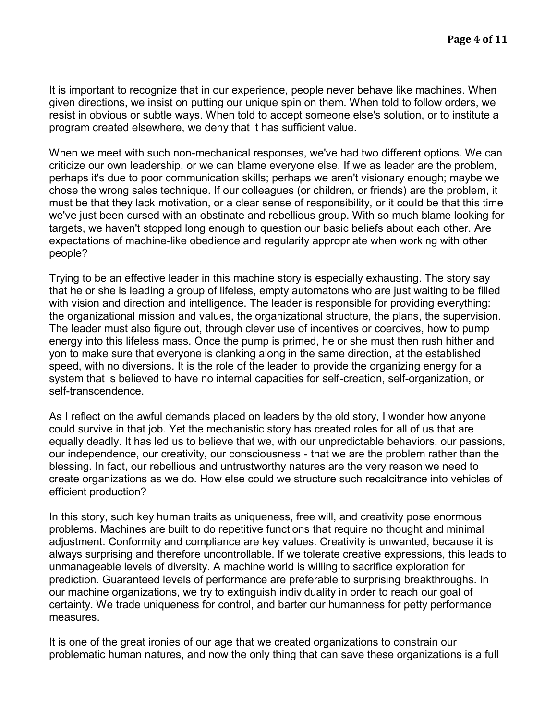It is important to recognize that in our experience, people never behave like machines. When given directions, we insist on putting our unique spin on them. When told to follow orders, we resist in obvious or subtle ways. When told to accept someone else's solution, or to institute a program created elsewhere, we deny that it has sufficient value.

When we meet with such non-mechanical responses, we've had two different options. We can criticize our own leadership, or we can blame everyone else. If we as leader are the problem, perhaps it's due to poor communication skills; perhaps we aren't visionary enough; maybe we chose the wrong sales technique. If our colleagues (or children, or friends) are the problem, it must be that they lack motivation, or a clear sense of responsibility, or it could be that this time we've just been cursed with an obstinate and rebellious group. With so much blame looking for targets, we haven't stopped long enough to question our basic beliefs about each other. Are expectations of machine-like obedience and regularity appropriate when working with other people?

Trying to be an effective leader in this machine story is especially exhausting. The story say that he or she is leading a group of lifeless, empty automatons who are just waiting to be filled with vision and direction and intelligence. The leader is responsible for providing everything: the organizational mission and values, the organizational structure, the plans, the supervision. The leader must also figure out, through clever use of incentives or coercives, how to pump energy into this lifeless mass. Once the pump is primed, he or she must then rush hither and yon to make sure that everyone is clanking along in the same direction, at the established speed, with no diversions. It is the role of the leader to provide the organizing energy for a system that is believed to have no internal capacities for self-creation, self-organization, or self-transcendence.

As I reflect on the awful demands placed on leaders by the old story, I wonder how anyone could survive in that job. Yet the mechanistic story has created roles for all of us that are equally deadly. It has led us to believe that we, with our unpredictable behaviors, our passions, our independence, our creativity, our consciousness - that we are the problem rather than the blessing. In fact, our rebellious and untrustworthy natures are the very reason we need to create organizations as we do. How else could we structure such recalcitrance into vehicles of efficient production?

In this story, such key human traits as uniqueness, free will, and creativity pose enormous problems. Machines are built to do repetitive functions that require no thought and minimal adjustment. Conformity and compliance are key values. Creativity is unwanted, because it is always surprising and therefore uncontrollable. If we tolerate creative expressions, this leads to unmanageable levels of diversity. A machine world is willing to sacrifice exploration for prediction. Guaranteed levels of performance are preferable to surprising breakthroughs. In our machine organizations, we try to extinguish individuality in order to reach our goal of certainty. We trade uniqueness for control, and barter our humanness for petty performance measures.

It is one of the great ironies of our age that we created organizations to constrain our problematic human natures, and now the only thing that can save these organizations is a full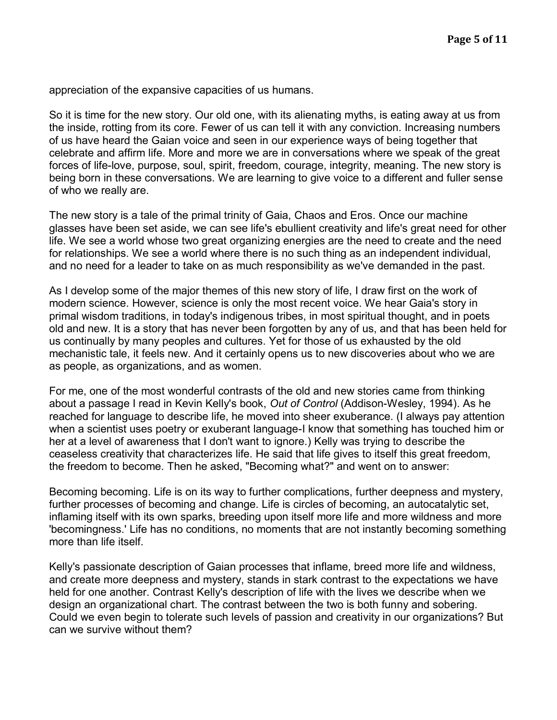appreciation of the expansive capacities of us humans.

So it is time for the new story. Our old one, with its alienating myths, is eating away at us from the inside, rotting from its core. Fewer of us can tell it with any conviction. Increasing numbers of us have heard the Gaian voice and seen in our experience ways of being together that celebrate and affirm life. More and more we are in conversations where we speak of the great forces of life-love, purpose, soul, spirit, freedom, courage, integrity, meaning. The new story is being born in these conversations. We are learning to give voice to a different and fuller sense of who we really are.

The new story is a tale of the primal trinity of Gaia, Chaos and Eros. Once our machine glasses have been set aside, we can see life's ebullient creativity and life's great need for other life. We see a world whose two great organizing energies are the need to create and the need for relationships. We see a world where there is no such thing as an independent individual, and no need for a leader to take on as much responsibility as we've demanded in the past.

As I develop some of the major themes of this new story of life, I draw first on the work of modern science. However, science is only the most recent voice. We hear Gaia's story in primal wisdom traditions, in today's indigenous tribes, in most spiritual thought, and in poets old and new. It is a story that has never been forgotten by any of us, and that has been held for us continually by many peoples and cultures. Yet for those of us exhausted by the old mechanistic tale, it feels new. And it certainly opens us to new discoveries about who we are as people, as organizations, and as women.

For me, one of the most wonderful contrasts of the old and new stories came from thinking about a passage I read in Kevin Kelly's book, *Out of Control* (Addison-Wesley, 1994). As he reached for language to describe life, he moved into sheer exuberance. (I always pay attention when a scientist uses poetry or exuberant language-I know that something has touched him or her at a level of awareness that I don't want to ignore.) Kelly was trying to describe the ceaseless creativity that characterizes life. He said that life gives to itself this great freedom, the freedom to become. Then he asked, "Becoming what?" and went on to answer:

Becoming becoming. Life is on its way to further complications, further deepness and mystery, further processes of becoming and change. Life is circles of becoming, an autocatalytic set, inflaming itself with its own sparks, breeding upon itself more life and more wildness and more 'becomingness.' Life has no conditions, no moments that are not instantly becoming something more than life itself.

Kelly's passionate description of Gaian processes that inflame, breed more life and wildness, and create more deepness and mystery, stands in stark contrast to the expectations we have held for one another. Contrast Kelly's description of life with the lives we describe when we design an organizational chart. The contrast between the two is both funny and sobering. Could we even begin to tolerate such levels of passion and creativity in our organizations? But can we survive without them?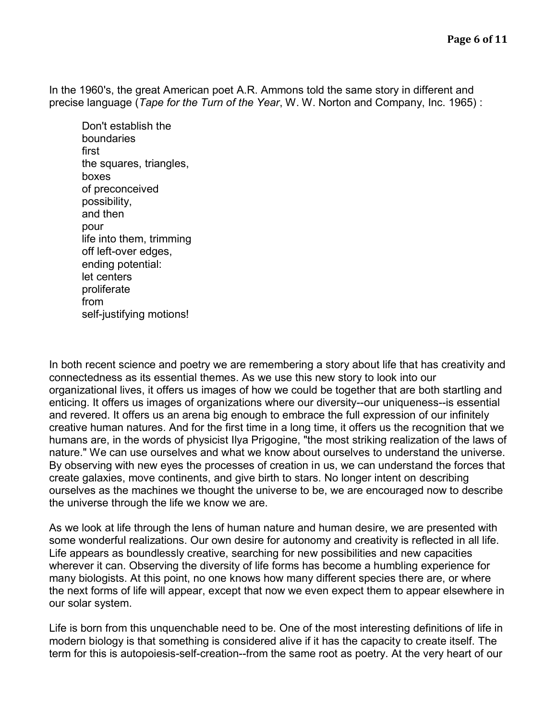In the 1960's, the great American poet A.R. Ammons told the same story in different and precise language (*Tape for the Turn of the Year*, W. W. Norton and Company, Inc. 1965) :

Don't establish the boundaries first the squares, triangles, boxes of preconceived possibility, and then pour life into them, trimming off left-over edges, ending potential: let centers proliferate from self-justifying motions!

In both recent science and poetry we are remembering a story about life that has creativity and connectedness as its essential themes. As we use this new story to look into our organizational lives, it offers us images of how we could be together that are both startling and enticing. It offers us images of organizations where our diversity--our uniqueness--is essential and revered. It offers us an arena big enough to embrace the full expression of our infinitely creative human natures. And for the first time in a long time, it offers us the recognition that we humans are, in the words of physicist Ilya Prigogine, "the most striking realization of the laws of nature." We can use ourselves and what we know about ourselves to understand the universe. By observing with new eyes the processes of creation in us, we can understand the forces that create galaxies, move continents, and give birth to stars. No longer intent on describing ourselves as the machines we thought the universe to be, we are encouraged now to describe the universe through the life we know we are.

As we look at life through the lens of human nature and human desire, we are presented with some wonderful realizations. Our own desire for autonomy and creativity is reflected in all life. Life appears as boundlessly creative, searching for new possibilities and new capacities wherever it can. Observing the diversity of life forms has become a humbling experience for many biologists. At this point, no one knows how many different species there are, or where the next forms of life will appear, except that now we even expect them to appear elsewhere in our solar system.

Life is born from this unquenchable need to be. One of the most interesting definitions of life in modern biology is that something is considered alive if it has the capacity to create itself. The term for this is autopoiesis-self-creation--from the same root as poetry. At the very heart of our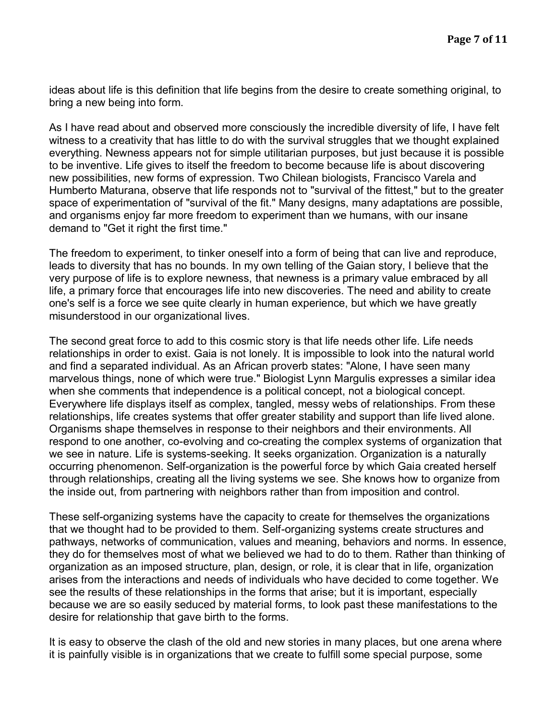ideas about life is this definition that life begins from the desire to create something original, to bring a new being into form.

As I have read about and observed more consciously the incredible diversity of life, I have felt witness to a creativity that has little to do with the survival struggles that we thought explained everything. Newness appears not for simple utilitarian purposes, but just because it is possible to be inventive. Life gives to itself the freedom to become because life is about discovering new possibilities, new forms of expression. Two Chilean biologists, Francisco Varela and Humberto Maturana, observe that life responds not to "survival of the fittest," but to the greater space of experimentation of "survival of the fit." Many designs, many adaptations are possible, and organisms enjoy far more freedom to experiment than we humans, with our insane demand to "Get it right the first time."

The freedom to experiment, to tinker oneself into a form of being that can live and reproduce, leads to diversity that has no bounds. In my own telling of the Gaian story, I believe that the very purpose of life is to explore newness, that newness is a primary value embraced by all life, a primary force that encourages life into new discoveries. The need and ability to create one's self is a force we see quite clearly in human experience, but which we have greatly misunderstood in our organizational lives.

The second great force to add to this cosmic story is that life needs other life. Life needs relationships in order to exist. Gaia is not lonely. It is impossible to look into the natural world and find a separated individual. As an African proverb states: "Alone, I have seen many marvelous things, none of which were true." Biologist Lynn Margulis expresses a similar idea when she comments that independence is a political concept, not a biological concept. Everywhere life displays itself as complex, tangled, messy webs of relationships. From these relationships, life creates systems that offer greater stability and support than life lived alone. Organisms shape themselves in response to their neighbors and their environments. All respond to one another, co-evolving and co-creating the complex systems of organization that we see in nature. Life is systems-seeking. It seeks organization. Organization is a naturally occurring phenomenon. Self-organization is the powerful force by which Gaia created herself through relationships, creating all the living systems we see. She knows how to organize from the inside out, from partnering with neighbors rather than from imposition and control.

These self-organizing systems have the capacity to create for themselves the organizations that we thought had to be provided to them. Self-organizing systems create structures and pathways, networks of communication, values and meaning, behaviors and norms. In essence, they do for themselves most of what we believed we had to do to them. Rather than thinking of organization as an imposed structure, plan, design, or role, it is clear that in life, organization arises from the interactions and needs of individuals who have decided to come together. We see the results of these relationships in the forms that arise; but it is important, especially because we are so easily seduced by material forms, to look past these manifestations to the desire for relationship that gave birth to the forms.

It is easy to observe the clash of the old and new stories in many places, but one arena where it is painfully visible is in organizations that we create to fulfill some special purpose, some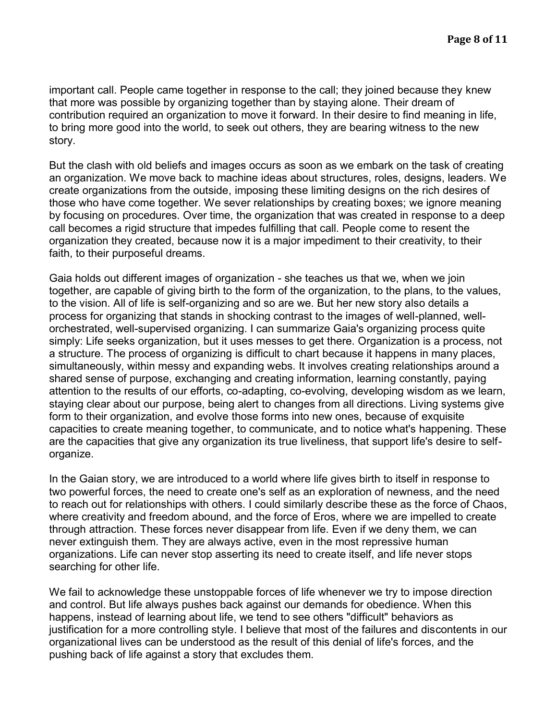important call. People came together in response to the call; they joined because they knew that more was possible by organizing together than by staying alone. Their dream of contribution required an organization to move it forward. In their desire to find meaning in life, to bring more good into the world, to seek out others, they are bearing witness to the new story.

But the clash with old beliefs and images occurs as soon as we embark on the task of creating an organization. We move back to machine ideas about structures, roles, designs, leaders. We create organizations from the outside, imposing these limiting designs on the rich desires of those who have come together. We sever relationships by creating boxes; we ignore meaning by focusing on procedures. Over time, the organization that was created in response to a deep call becomes a rigid structure that impedes fulfilling that call. People come to resent the organization they created, because now it is a major impediment to their creativity, to their faith, to their purposeful dreams.

Gaia holds out different images of organization - she teaches us that we, when we join together, are capable of giving birth to the form of the organization, to the plans, to the values, to the vision. All of life is self-organizing and so are we. But her new story also details a process for organizing that stands in shocking contrast to the images of well-planned, wellorchestrated, well-supervised organizing. I can summarize Gaia's organizing process quite simply: Life seeks organization, but it uses messes to get there. Organization is a process, not a structure. The process of organizing is difficult to chart because it happens in many places, simultaneously, within messy and expanding webs. It involves creating relationships around a shared sense of purpose, exchanging and creating information, learning constantly, paying attention to the results of our efforts, co-adapting, co-evolving, developing wisdom as we learn, staying clear about our purpose, being alert to changes from all directions. Living systems give form to their organization, and evolve those forms into new ones, because of exquisite capacities to create meaning together, to communicate, and to notice what's happening. These are the capacities that give any organization its true liveliness, that support life's desire to selforganize.

In the Gaian story, we are introduced to a world where life gives birth to itself in response to two powerful forces, the need to create one's self as an exploration of newness, and the need to reach out for relationships with others. I could similarly describe these as the force of Chaos, where creativity and freedom abound, and the force of Eros, where we are impelled to create through attraction. These forces never disappear from life. Even if we deny them, we can never extinguish them. They are always active, even in the most repressive human organizations. Life can never stop asserting its need to create itself, and life never stops searching for other life.

We fail to acknowledge these unstoppable forces of life whenever we try to impose direction and control. But life always pushes back against our demands for obedience. When this happens, instead of learning about life, we tend to see others "difficult" behaviors as justification for a more controlling style. I believe that most of the failures and discontents in our organizational lives can be understood as the result of this denial of life's forces, and the pushing back of life against a story that excludes them.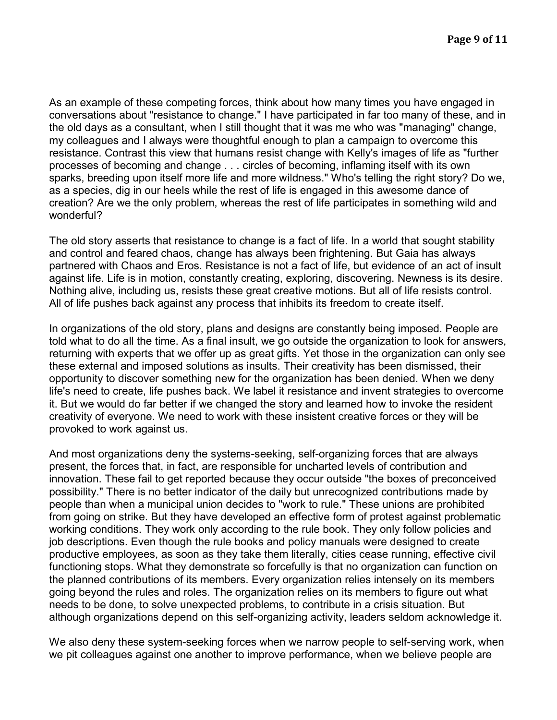As an example of these competing forces, think about how many times you have engaged in conversations about "resistance to change." I have participated in far too many of these, and in the old days as a consultant, when I still thought that it was me who was "managing" change, my colleagues and I always were thoughtful enough to plan a campaign to overcome this resistance. Contrast this view that humans resist change with Kelly's images of life as "further processes of becoming and change . . . circles of becoming, inflaming itself with its own sparks, breeding upon itself more life and more wildness." Who's telling the right story? Do we, as a species, dig in our heels while the rest of life is engaged in this awesome dance of creation? Are we the only problem, whereas the rest of life participates in something wild and wonderful?

The old story asserts that resistance to change is a fact of life. In a world that sought stability and control and feared chaos, change has always been frightening. But Gaia has always partnered with Chaos and Eros. Resistance is not a fact of life, but evidence of an act of insult against life. Life is in motion, constantly creating, exploring, discovering. Newness is its desire. Nothing alive, including us, resists these great creative motions. But all of life resists control. All of life pushes back against any process that inhibits its freedom to create itself.

In organizations of the old story, plans and designs are constantly being imposed. People are told what to do all the time. As a final insult, we go outside the organization to look for answers, returning with experts that we offer up as great gifts. Yet those in the organization can only see these external and imposed solutions as insults. Their creativity has been dismissed, their opportunity to discover something new for the organization has been denied. When we deny life's need to create, life pushes back. We label it resistance and invent strategies to overcome it. But we would do far better if we changed the story and learned how to invoke the resident creativity of everyone. We need to work with these insistent creative forces or they will be provoked to work against us.

And most organizations deny the systems-seeking, self-organizing forces that are always present, the forces that, in fact, are responsible for uncharted levels of contribution and innovation. These fail to get reported because they occur outside "the boxes of preconceived possibility." There is no better indicator of the daily but unrecognized contributions made by people than when a municipal union decides to "work to rule." These unions are prohibited from going on strike. But they have developed an effective form of protest against problematic working conditions. They work only according to the rule book. They only follow policies and job descriptions. Even though the rule books and policy manuals were designed to create productive employees, as soon as they take them literally, cities cease running, effective civil functioning stops. What they demonstrate so forcefully is that no organization can function on the planned contributions of its members. Every organization relies intensely on its members going beyond the rules and roles. The organization relies on its members to figure out what needs to be done, to solve unexpected problems, to contribute in a crisis situation. But although organizations depend on this self-organizing activity, leaders seldom acknowledge it.

We also deny these system-seeking forces when we narrow people to self-serving work, when we pit colleagues against one another to improve performance, when we believe people are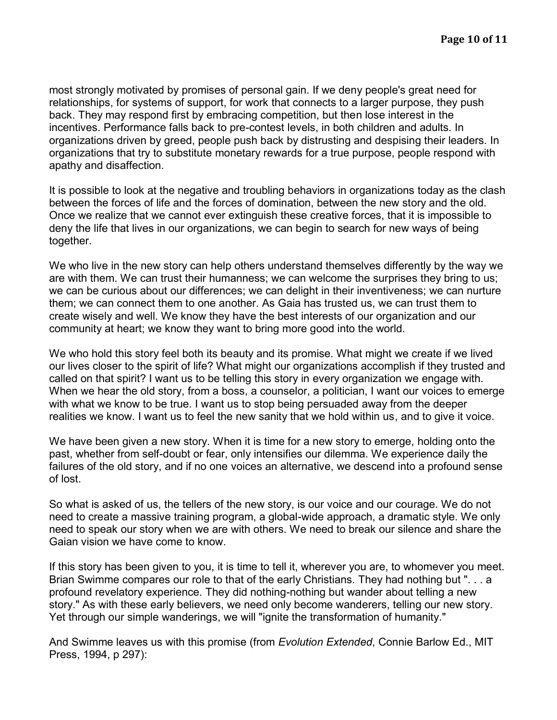most strongly motivated by promises of personal gain. If we deny people's great need for relationships, for systems of support, for work that connects to a larger purpose, they push back. They may respond first by embracing competition, but then lose interest in the incentives. Performance falls back to pre-contest levels, in both children and adults. In organizations driven by greed, people push back by distrusting and despising their leaders. In organizations that try to substitute monetary rewards for a true purpose, people respond with apathy and disaffection.

It is possible to look at the negative and troubling behaviors in organizations today as the clash between the forces of life and the forces of domination, between the new story and the old. Once we realize that we cannot ever extinguish these creative forces, that it is impossible to deny the life that lives in our organizations, we can begin to search for new ways of being together.

We who live in the new story can help others understand themselves differently by the way we are with them. We can trust their humanness; we can welcome the surprises they bring to us; we can be curious about our differences; we can delight in their inventiveness; we can nurture them; we can connect them to one another. As Gaia has trusted us, we can trust them to create wisely and well. We know they have the best interests of our organization and our community at heart; we know they want to bring more good into the world.

We who hold this story feel both its beauty and its promise. What might we create if we lived our lives closer to the spirit of life? What might our organizations accomplish if they trusted and called on that spirit? I want us to be telling this story in every organization we engage with. When we hear the old story, from a boss, a counselor, a politician, I want our voices to emerge with what we know to be true. I want us to stop being persuaded away from the deeper realities we know. I want us to feel the new sanity that we hold within us, and to give it voice.

We have been given a new story. When it is time for a new story to emerge, holding onto the past, whether from self-doubt or fear, only intensifies our dilemma. We experience daily the failures of the old story, and if no one voices an alternative, we descend into a profound sense of lost.

So what is asked of us, the tellers of the new story, is our voice and our courage. We do not need to create a massive training program, a global-wide approach, a dramatic style. We only need to speak our story when we are with others. We need to break our silence and share the Gaian vision we have come to know.

If this story has been given to you, it is time to tell it, wherever you are, to whomever you meet. Brian Swimme compares our role to that of the early Christians. They had nothing but ". . . a profound revelatory experience. They did nothing-nothing but wander about telling a new story." As with these early believers, we need only become wanderers, telling our new story. Yet through our simple wanderings, we will "ignite the transformation of humanity."

And Swimme leaves us with this promise (from *Evolution Extended*, Connie Barlow Ed., MIT Press, 1994, p 297):